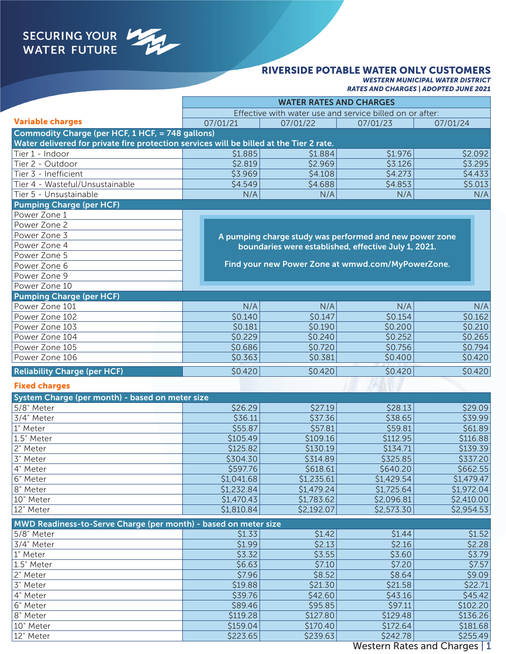# SECURING YOUR

#### RIVERSIDE POTABLE WATER ONLY CUSTOMERS

*WESTERN MUNICIPAL WATER DISTRICT RATES AND CHARGES | ADOPTED JUNE 2021*

|                                                                                         | <b>WATER RATES AND CHARGES</b>                           |            |            |            |  |  |
|-----------------------------------------------------------------------------------------|----------------------------------------------------------|------------|------------|------------|--|--|
|                                                                                         | Effective with water use and service billed on or after: |            |            |            |  |  |
| <b>Variable charges</b>                                                                 | 07/01/21                                                 | 07/01/22   | 07/01/23   | 07/01/24   |  |  |
| Commodity Charge (per HCF, 1 HCF, = 748 gallons)                                        |                                                          |            |            |            |  |  |
| Water delivered for private fire protection services will be billed at the Tier 2 rate. |                                                          |            |            |            |  |  |
| Tier 1 - Indoor                                                                         | \$1.885                                                  | \$1.884    | \$1.976    | \$2.092    |  |  |
| Tier 2 - Outdoor                                                                        | \$2.819                                                  | \$2.969    | \$3.126    | \$3.295    |  |  |
| Tier 3 - Inefficient                                                                    | \$3.969                                                  | \$4.108    | \$4.273    | \$4.433    |  |  |
| Tier 4 - Wasteful/Unsustainable                                                         | \$4.549                                                  | \$4.688    | \$4.853    | \$5.013    |  |  |
| Tier 5 - Unsustainable                                                                  | N/A                                                      | N/A        | N/A        | N/A        |  |  |
| <b>Pumping Charge (per HCF)</b>                                                         |                                                          |            |            |            |  |  |
| Power Zone 1                                                                            |                                                          |            |            |            |  |  |
| Power Zone 2                                                                            |                                                          |            |            |            |  |  |
| Power Zone 3                                                                            | A pumping charge study was performed and new power zone  |            |            |            |  |  |
| Power Zone 4                                                                            | boundaries were established, effective July 1, 2021.     |            |            |            |  |  |
| Power Zone 5                                                                            |                                                          |            |            |            |  |  |
| Power Zone 6                                                                            | Find your new Power Zone at wmwd.com/MyPowerZone.        |            |            |            |  |  |
| Power Zone 9                                                                            |                                                          |            |            |            |  |  |
| Power Zone 10                                                                           |                                                          |            |            |            |  |  |
| <b>Pumping Charge (per HCF)</b>                                                         |                                                          |            |            |            |  |  |
| Power Zone 101                                                                          | N/A                                                      | N/A        | N/A        | N/A        |  |  |
| Power Zone 102                                                                          | \$0.140                                                  | \$0.147    | \$0.154    | \$0.162    |  |  |
| Power Zone 103                                                                          | \$0.181                                                  | \$0.190    | \$0.200    | \$0.210    |  |  |
| Power Zone 104                                                                          | \$0.229                                                  | \$0.240    | \$0.252    | \$0.265    |  |  |
| Power Zone 105                                                                          | \$0.686                                                  | \$0.720    | \$0.756    | \$0.794    |  |  |
| Power Zone 106                                                                          | \$0.363                                                  | \$0.381    | \$0.400    | \$0.420    |  |  |
| <b>Reliability Charge (per HCF)</b>                                                     | \$0.420                                                  | \$0.420    | \$0.420    | \$0.420    |  |  |
| <b>Fixed charges</b>                                                                    |                                                          |            |            |            |  |  |
| System Charge (per month) - based on meter size                                         |                                                          |            |            |            |  |  |
| 5/8" Meter                                                                              | \$26.29                                                  | \$27.19    | \$28.13    | \$29.09    |  |  |
| 3/4" Meter                                                                              | \$36.11                                                  | \$37.36    | \$38.65    | \$39.99    |  |  |
| 1" Meter                                                                                | \$55.87                                                  | \$57.81    | \$59.81    | \$61.89    |  |  |
| 1.5" Meter                                                                              | \$105.49                                                 | \$109.16   | \$112.95   | \$116.88   |  |  |
| 2" Meter                                                                                | \$125.82                                                 | \$130.19   | \$134.71   | \$139.39   |  |  |
| 3" Meter                                                                                | \$304.30                                                 | \$314.89   | \$325.85   | 5337.20    |  |  |
| 4" Meter                                                                                | \$597.76                                                 | \$618.61   | \$640.20   | \$662.55   |  |  |
| 6" Meter                                                                                | \$1,041.68                                               | \$1,235.61 | \$1,429.54 | \$1,479.47 |  |  |
| 8" Meter                                                                                | \$1,232.84                                               | \$1,479.24 | \$1,725.64 | \$1,972.04 |  |  |
| 10" Meter                                                                               | \$1,470.43                                               | \$1,783.62 | \$2,096.81 | \$2,410.00 |  |  |
| 12" Meter                                                                               | \$1,810.84                                               | \$2,192.07 | \$2,573.30 | \$2,954.53 |  |  |
| MWD Readiness-to-Serve Charge (per month) - based on meter size                         |                                                          |            |            |            |  |  |
| 5/8" Meter                                                                              | \$1.33                                                   | \$1.42     | \$1.44     | \$1.52     |  |  |
| 3/4" Meter                                                                              | \$1.99                                                   | \$2.13     | \$2.16     | \$2.28     |  |  |
| 1" Meter                                                                                | \$3.32                                                   | \$3.55     | \$3.60     | \$3.79     |  |  |
| 1.5" Meter                                                                              | \$6.63                                                   | \$7.10     | \$7.20     | \$7.57     |  |  |
| 2" Meter                                                                                | \$7.96                                                   | \$8.52     | \$8.64     | \$9.09     |  |  |
| 3" Meter                                                                                | \$19.88                                                  | \$21.30    | \$21.58    | \$22.71    |  |  |
| 4" Meter                                                                                | \$39.76                                                  | \$42.60    | \$43.16    | \$45.42    |  |  |
| 6" Meter                                                                                | \$89.46                                                  | \$95.85    | \$97.11    | \$102.20   |  |  |
| 8" Meter                                                                                | \$119.28                                                 | \$127.80   | \$129.48   | \$136.26   |  |  |
| 10" Meter                                                                               | \$159.04                                                 | \$170.40   | \$172.64   | \$181.68   |  |  |
| 12" Meter                                                                               | \$223.65                                                 | \$239.63   | \$242.78   | \$255.49   |  |  |

#### Western Rates and Charges | 1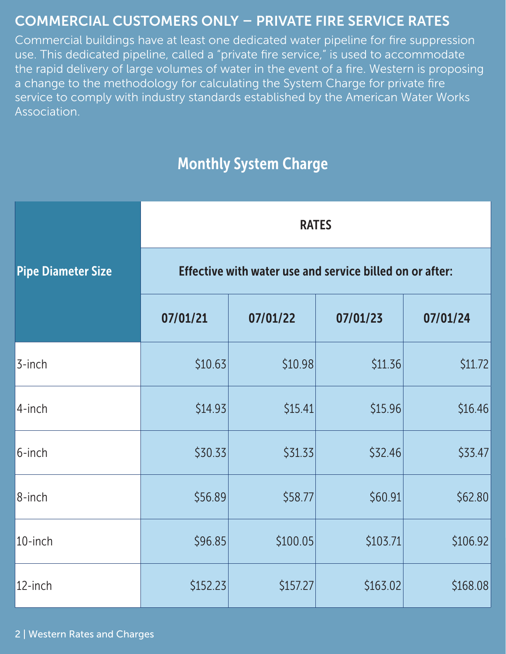## COMMERCIAL CUSTOMERS ONLY – PRIVATE FIRE SERVICE RATES

Commercial buildings have at least one dedicated water pipeline for fire suppression use. This dedicated pipeline, called a "private fire service," is used to accommodate the rapid delivery of large volumes of water in the event of a fire. Western is proposing a change to the methodology for calculating the System Charge for private fire service to comply with industry standards established by the American Water Works Association.

# Monthly System Charge

|                           | <b>RATES</b> |                                                          |          |          |  |  |
|---------------------------|--------------|----------------------------------------------------------|----------|----------|--|--|
| <b>Pipe Diameter Size</b> |              | Effective with water use and service billed on or after: |          |          |  |  |
|                           | 07/01/21     | 07/01/22                                                 | 07/01/23 | 07/01/24 |  |  |
| $3$ -inch                 | \$10.63      | \$10.98                                                  | \$11.36  | \$11.72  |  |  |
| 4-inch                    | \$14.93      | \$15.41                                                  | \$15.96  | \$16.46  |  |  |
| $6$ -inch                 | \$30.33      | \$31.33                                                  | \$32.46  | \$33.47  |  |  |
| 8-inch                    | \$56.89      | \$58.77                                                  | \$60.91  | \$62.80  |  |  |
| 10-inch                   | \$96.85      | \$100.05                                                 | \$103.71 | \$106.92 |  |  |
| 12-inch                   | \$152.23     | \$157.27                                                 | \$163.02 | \$168.08 |  |  |